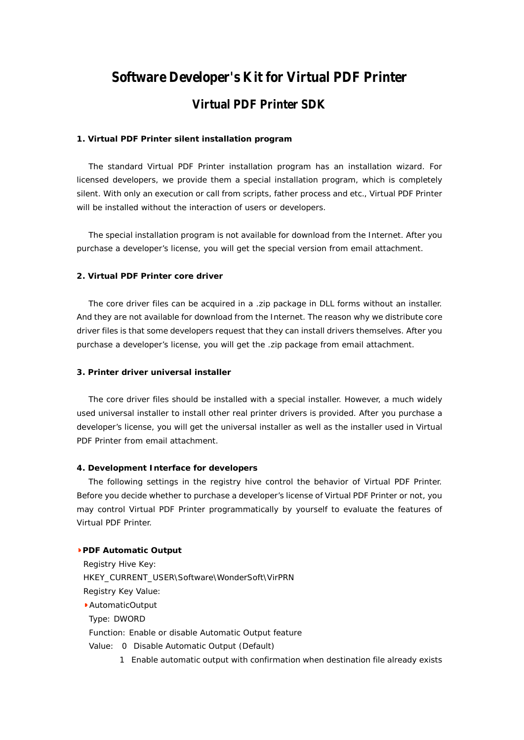# **Software Developer's Kit for Virtual PDF Printer Virtual PDF Printer SDK**

#### **1. Virtual PDF Printer silent installation program**

The standard Virtual PDF Printer installation program has an installation wizard. For licensed developers, we provide them a special installation program, which is completely silent. With only an execution or call from scripts, father process and etc., Virtual PDF Printer will be installed without the interaction of users or developers.

The special installation program is not available for download from the Internet. After you purchase a developer's license, you will get the special version from email attachment.

## **2. Virtual PDF Printer core driver**

The core driver files can be acquired in a .zip package in DLL forms without an installer. And they are not available for download from the Internet. The reason why we distribute core driver files is that some developers request that they can install drivers themselves. After you purchase a developer's license, you will get the .zip package from email attachment.

## **3. Printer driver universal installer**

The core driver files should be installed with a special installer. However, a much widely used universal installer to install other real printer drivers is provided. After you purchase a developer's license, you will get the universal installer as well as the installer used in Virtual PDF Printer from email attachment.

## **4. Development Interface for developers**

The following settings in the registry hive control the behavior of Virtual PDF Printer. Before you decide whether to purchase a developer's license of Virtual PDF Printer or not, you may control Virtual PDF Printer programmatically by yourself to evaluate the features of Virtual PDF Printer.

**PDF Automatic Output** Registry Hive Key: HKEY\_CURRENT\_USER\Software\WonderSoft\VirPRN Registry Key Value: AutomaticOutput Type: DWORD Function: Enable or disable Automatic Output feature Value: 0 Disable Automatic Output (Default) 1 Enable automatic output with confirmation when destination file already exists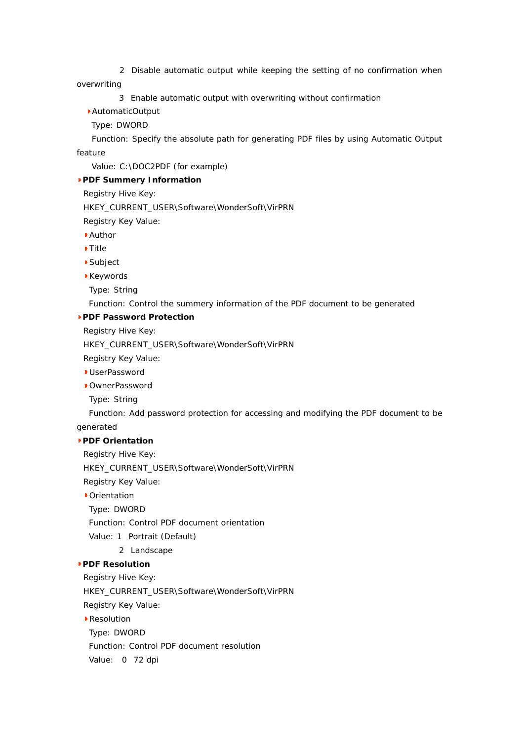2 Disable automatic output while keeping the setting of no confirmation when

overwriting

3 Enable automatic output with overwriting without confirmation

AutomaticOutput

Type: DWORD

Function: Specify the absolute path for generating PDF files by using Automatic Output feature

Value: C:\DOC2PDF (for example)

**PDF Summery Information**

Registry Hive Key:

HKEY\_CURRENT\_USER\Software\WonderSoft\VirPRN

Registry Key Value:

- Author
- Title
- Subject
- Keywords
- Type: String

Function: Control the summery information of the PDF document to be generated

**PDF Password Protection**

Registry Hive Key:

HKEY\_CURRENT\_USER\Software\WonderSoft\VirPRN

Registry Key Value:

- **UserPassword**
- OwnerPassword
- Type: String

Function: Add password protection for accessing and modifying the PDF document to be

generated

**PDF Orientation**

Registry Hive Key:

HKEY\_CURRENT\_USER\Software\WonderSoft\VirPRN

Registry Key Value:

**Crientation** 

Type: DWORD

Function: Control PDF document orientation

- Value: 1 Portrait (Default)
	- 2 Landscape

**PDF Resolution**

Registry Hive Key:

HKEY\_CURRENT\_USER\Software\WonderSoft\VirPRN

Registry Key Value:

▶ Resolution

Type: DWORD

Function: Control PDF document resolution

Value: 0 72 dpi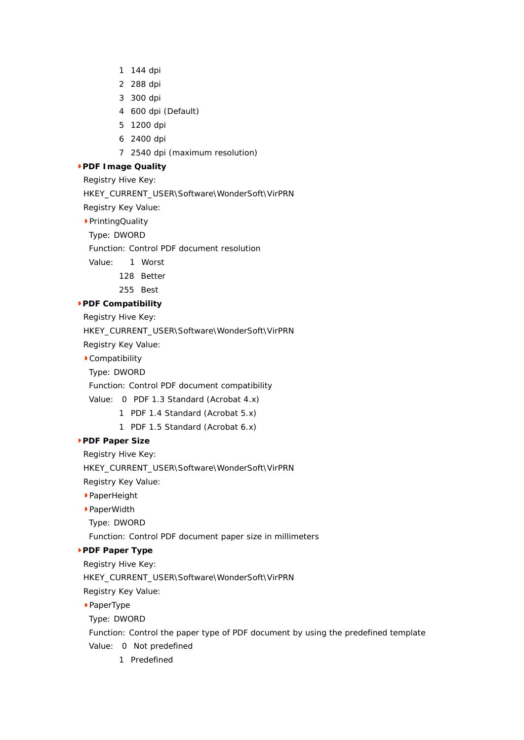- 1 144 dpi
- 2 288 dpi
- 3 300 dpi
- 4 600 dpi (Default)
- 5 1200 dpi
- 6 2400 dpi
- 7 2540 dpi (maximum resolution)
- **PDF Image Quality**
	- Registry Hive Key:
	- HKEY\_CURRENT\_USER\Software\WonderSoft\VirPRN
	- Registry Key Value:
	- PrintingQuality
	- Type: DWORD
	- Function: Control PDF document resolution
	- Value: 1 Worst
		- 128 Better
		- 255 Best
- **PDF Compatibility**
	- Registry Hive Key:
	- HKEY\_CURRENT\_USER\Software\WonderSoft\VirPRN
	- Registry Key Value:
	- Compatibility
	- Type: DWORD
	- Function: Control PDF document compatibility
	- Value: 0 PDF 1.3 Standard (Acrobat 4.x)
		- 1 PDF 1.4 Standard (Acrobat 5.x)
		- 1 PDF 1.5 Standard (Acrobat 6.x)
- **PDF Paper Size**
	- Registry Hive Key:
	- HKEY\_CURRENT\_USER\Software\WonderSoft\VirPRN
	- Registry Key Value:
	- PaperHeight
	- PaperWidth
	- Type: DWORD
	- Function: Control PDF document paper size in millimeters
- **PDF Paper Type**
	- Registry Hive Key:
	- HKEY\_CURRENT\_USER\Software\WonderSoft\VirPRN
	- Registry Key Value:
	- PaperType
	- Type: DWORD
	- Function: Control the paper type of PDF document by using the predefined template
	- Value: 0 Not predefined
		- 1 Predefined